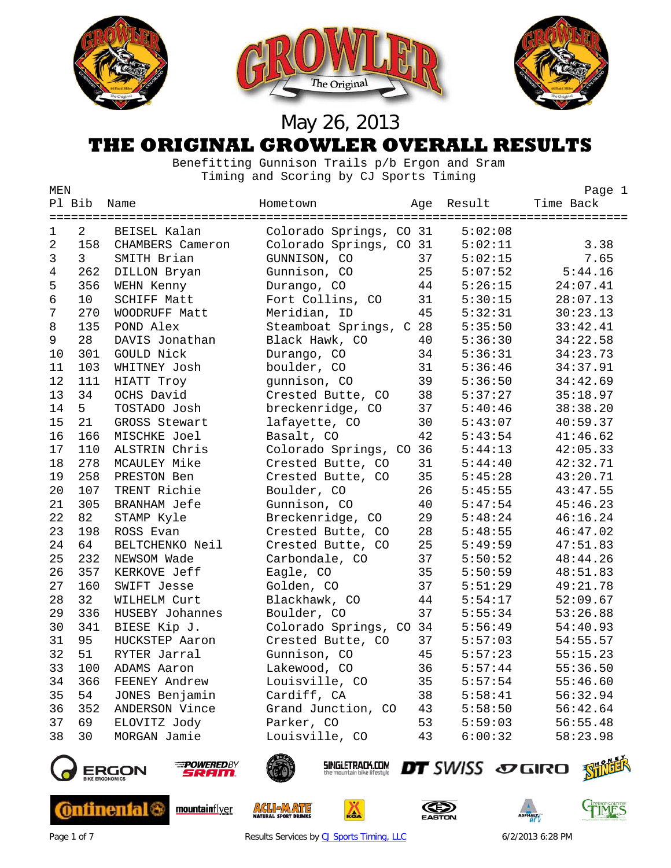

#### **THE ORIGINAL GROWLER OVERALL RESULTS**

 Benefitting Gunnison Trails p/b Ergon and Sram Timing and Scoring by CJ Sports Timing

| MEN            |                |                     |                         |                    |         | Page 1    |
|----------------|----------------|---------------------|-------------------------|--------------------|---------|-----------|
|                | Pl Bib         | Name                | Hometown                | Age                | Result  | Time Back |
|                |                |                     |                         |                    |         |           |
| $\mathbf 1$    | $\overline{2}$ | BEISEL Kalan        | Colorado Springs, CO 31 |                    | 5:02:08 |           |
| $\overline{2}$ | 158            | CHAMBERS Cameron    | Colorado Springs, CO 31 |                    | 5:02:11 | 3.38      |
| 3              | $\mathsf{3}$   | SMITH Brian         | GUNNISON, CO            | 37                 | 5:02:15 | 7.65      |
| 4              | 262            | DILLON Bryan        | Gunnison, CO            | 25                 | 5:07:52 | 5:44.16   |
| 5              | 356            | WEHN Kenny          | Durango, CO             | 44                 | 5:26:15 | 24:07.41  |
| 6              | 10             | <b>SCHIFF Matt</b>  | Fort Collins, CO        | 31                 | 5:30:15 | 28:07.13  |
| 7              | 270            | WOODRUFF Matt       | Meridian, ID            | 45                 | 5:32:31 | 30:23.13  |
| 8              | 135            | POND Alex           | Steamboat Springs,      | 28<br>$\mathsf{C}$ | 5:35:50 | 33:42.41  |
| 9              | 28             | DAVIS Jonathan      | Black Hawk, CO          | 40                 | 5:36:30 | 34:22.58  |
| 10             | 301            | GOULD Nick          | Durango, CO             | 34                 | 5:36:31 | 34:23.73  |
| 11             | 103            | WHITNEY Josh        | boulder, CO             | 31                 | 5:36:46 | 34:37.91  |
| 12             | 111            | HIATT Troy          | gunnison, CO            | 39                 | 5:36:50 | 34:42.69  |
| 13             | 34             | OCHS David          | Crested Butte, CO       | 38                 | 5:37:27 | 35:18.97  |
| 14             | 5              | TOSTADO Josh        | breckenridge, CO        | 37                 | 5:40:46 | 38:38.20  |
| 15             | 21             | GROSS Stewart       | lafayette, CO           | 30                 | 5:43:07 | 40:59.37  |
| 16             | 166            | MISCHKE Joel        | Basalt, CO              | 42                 | 5:43:54 | 41:46.62  |
| 17             | 110            | ALSTRIN Chris       | Colorado Springs, CO    | 36                 | 5:44:13 | 42:05.33  |
| 18             | 278            | MCAULEY Mike        | Crested Butte, CO       | 31                 | 5:44:40 | 42:32.71  |
| 19             | 258            | PRESTON Ben         | Crested Butte, CO       | 35                 | 5:45:28 | 43:20.71  |
| 20             | 107            | TRENT Richie        | Boulder, CO             | 26                 | 5:45:55 | 43:47.55  |
| 21             | 305            | <b>BRANHAM Jefe</b> | Gunnison, CO            | 40                 | 5:47:54 | 45:46.23  |
| 22             | 82             | STAMP Kyle          | Breckenridge, CO        | 29                 | 5:48:24 | 46:16.24  |
| 23             | 198            | ROSS Evan           | Crested Butte, CO       | 28                 | 5:48:55 | 46:47.02  |
| 24             | 64             | BELTCHENKO Neil     | Crested Butte, CO       | 25                 | 5:49:59 | 47:51.83  |
| 25             | 232            | NEWSOM Wade         | Carbondale, CO          | 37                 | 5:50:52 | 48:44.26  |
| 26             | 357            | KERKOVE Jeff        | Eagle, CO               | 35                 | 5:50:59 | 48:51.83  |
| 27             | 160            | SWIFT Jesse         | Golden, CO              | 37                 | 5:51:29 | 49:21.78  |
| 28             | 32             | WILHELM Curt        | Blackhawk, CO           | 44                 | 5:54:17 | 52:09.67  |
| 29             | 336            | HUSEBY Johannes     | Boulder, CO             | 37                 | 5:55:34 | 53:26.88  |
| 30             | 341            | BIESE Kip J.        | Colorado Springs, CO    | 34                 | 5:56:49 | 54:40.93  |
| 31             | 95             | HUCKSTEP Aaron      | Crested Butte, CO       | 37                 | 5:57:03 | 54:55.57  |
| 32             | 51             | RYTER Jarral        | Gunnison, CO            | 45                 | 5:57:23 | 55:15.23  |
| 33             | 100            | ADAMS Aaron         | Lakewood, CO            | 36                 | 5:57:44 | 55:36.50  |
| 34             | 366            | FEENEY Andrew       | Louisville, CO          | 35                 | 5:57:54 | 55:46.60  |
| 35             | 54             | JONES Benjamin      | Cardiff, CA             | 38                 | 5:58:41 | 56:32.94  |
| 36             | 352            | ANDERSON Vince      | Grand Junction, CO      | 43                 | 5:58:50 | 56:42.64  |
| 37             | 69             | ELOVITZ Jody        | Parker, CO              | 53                 | 5:59:03 | 56:55.48  |
| 38             | 30             | MORGAN Jamie        | Louisville, CO          | 43                 | 6:00:32 | 58:23.98  |
|                |                |                     |                         |                    |         |           |



**Ontinental (** 



mountainflyer



**ACLIEMATE** 

SINGLETRACK.COM

Ω







Page 1 of 7 **Results Services b[y CJ Sports Timing, LLC](http://www.cjtiming.com/)** 6/2/2013 6:28 PM

DT SWISS SO GIRO STILL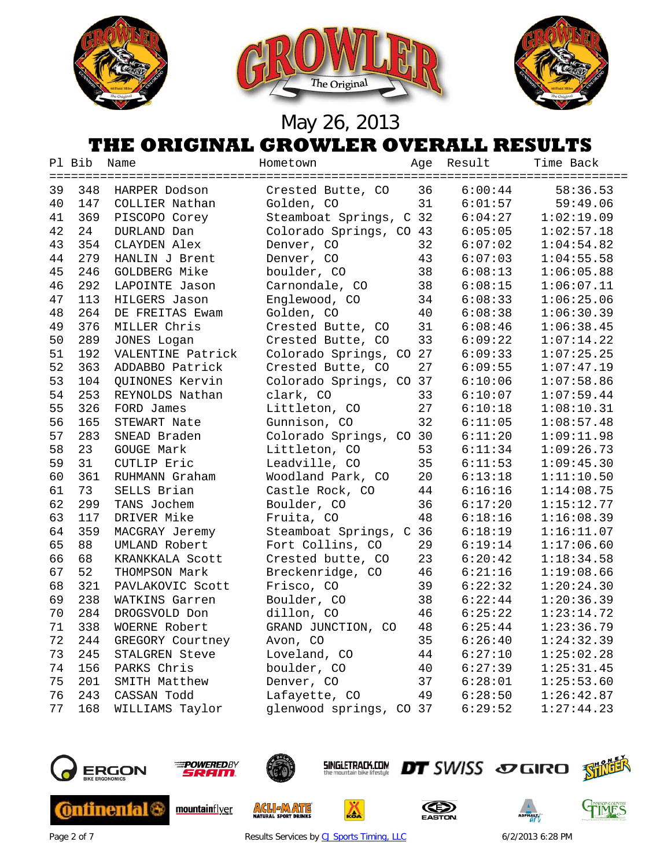





#### **THE ORIGINAL GROWLER OVERALL RESULTS**

|    | Pl Bib | Name              | Hometown                | Age | Result  | Time Back  |
|----|--------|-------------------|-------------------------|-----|---------|------------|
| 39 | 348    | HARPER Dodson     | Crested Butte, CO       | 36  | 6:00:44 | 58:36.53   |
| 40 | 147    | COLLIER Nathan    | Golden, CO              | 31  | 6:01:57 | 59:49.06   |
| 41 | 369    | PISCOPO Corey     | Steamboat Springs, C    | 32  | 6:04:27 | 1:02:19.09 |
| 42 | 24     | DURLAND Dan       | Colorado Springs, CO    | 43  | 6:05:05 | 1:02:57.18 |
| 43 | 354    | CLAYDEN Alex      | Denver, CO              | 32  | 6:07:02 | 1:04:54.82 |
| 44 | 279    | HANLIN J Brent    | Denver, CO              | 43  | 6:07:03 | 1:04:55.58 |
| 45 | 246    | GOLDBERG Mike     | boulder, CO             | 38  | 6:08:13 | 1:06:05.88 |
| 46 | 292    | LAPOINTE Jason    | Carnondale, CO          | 38  | 6:08:15 | 1:06:07.11 |
| 47 | 113    | HILGERS Jason     | Englewood, CO           | 34  | 6:08:33 | 1:06:25.06 |
| 48 | 264    | DE FREITAS Ewam   | Golden, CO              | 40  | 6:08:38 | 1:06:30.39 |
| 49 | 376    | MILLER Chris      | Crested Butte, CO       | 31  | 6:08:46 | 1:06:38.45 |
| 50 | 289    | JONES Logan       | Crested Butte, CO       | 33  | 6:09:22 | 1:07:14.22 |
| 51 | 192    | VALENTINE Patrick | Colorado Springs, CO 27 |     | 6:09:33 | 1:07:25.25 |
| 52 | 363    | ADDABBO Patrick   | Crested Butte, CO       | 27  | 6:09:55 | 1:07:47.19 |
| 53 | 104    | QUINONES Kervin   | Colorado Springs, CO    | 37  | 6:10:06 | 1:07:58.86 |
| 54 | 253    | REYNOLDS Nathan   | clark, CO               | 33  | 6:10:07 | 1:07:59.44 |
| 55 | 326    | FORD James        | Littleton, CO           | 27  | 6:10:18 | 1:08:10.31 |
| 56 | 165    | STEWART Nate      | Gunnison, CO            | 32  | 6:11:05 | 1:08:57.48 |
| 57 | 283    | SNEAD Braden      | Colorado Springs, CO    | 30  | 6:11:20 | 1:09:11.98 |
| 58 | 23     | GOUGE Mark        | Littleton, CO           | 53  | 6:11:34 | 1:09:26.73 |
| 59 | 31     | CUTLIP Eric       | Leadville, CO           | 35  | 6:11:53 | 1:09:45.30 |
| 60 | 361    | RUHMANN Graham    | Woodland Park, CO       | 20  | 6:13:18 | 1:11:10.50 |
| 61 | 73     | SELLS Brian       | Castle Rock, CO         | 44  | 6:16:16 | 1:14:08.75 |
| 62 | 299    | TANS Jochem       | Boulder, CO             | 36  | 6:17:20 | 1:15:12.77 |
| 63 | 117    | DRIVER Mike       | Fruita, CO              | 48  | 6:18:16 | 1:16:08.39 |
| 64 | 359    | MACGRAY Jeremy    | Steamboat Springs, C    | 36  | 6:18:19 | 1:16:11.07 |
| 65 | 88     | UMLAND Robert     | Fort Collins, CO        | 29  | 6:19:14 | 1:17:06.60 |
| 66 | 68     | KRANKKALA Scott   | Crested butte, CO       | 23  | 6:20:42 | 1:18:34.58 |
| 67 | 52     | THOMPSON Mark     | Breckenridge, CO        | 46  | 6:21:16 | 1:19:08.66 |
| 68 | 321    | PAVLAKOVIC Scott  | Frisco, CO              | 39  | 6:22:32 | 1:20:24.30 |
| 69 | 238    | WATKINS Garren    | Boulder, CO             | 38  | 6:22:44 | 1:20:36.39 |
| 70 | 284    | DROGSVOLD Don     | dillon, CO              | 46  | 6:25:22 | 1:23:14.72 |
| 71 | 338    | WOERNE Robert     | GRAND JUNCTION, CO      | 48  | 6:25:44 | 1:23:36.79 |
| 72 | 244    | GREGORY Courtney  | Avon, CO                | 35  | 6:26:40 | 1:24:32.39 |
| 73 | 245    | STALGREN Steve    | Loveland, CO            | 44  | 6:27:10 | 1:25:02.28 |
| 74 | 156    | PARKS Chris       | boulder, CO             | 40  | 6:27:39 | 1:25:31.45 |
| 75 | 201    | SMITH Matthew     | Denver, CO              | 37  | 6:28:01 | 1:25:53.60 |
| 76 | 243    | CASSAN Todd       | Lafayette, CO           | 49  | 6:28:50 | 1:26:42.87 |
| 77 | 168    | WILLIAMS Taylor   | glenwood springs, CO 37 |     | 6:29:52 | 1:27:44.23 |
|    |        |                   |                         |     |         |            |







**ACLI MATE** 

**SINGLETRACK.COM** 

◬





GIMES

Page 2 of 7 **Results Services b[y CJ Sports Timing, LLC](http://www.cjtiming.com/)** 6/2/2013 6:28 PM

**DT** SWISS SOGIRO SHILL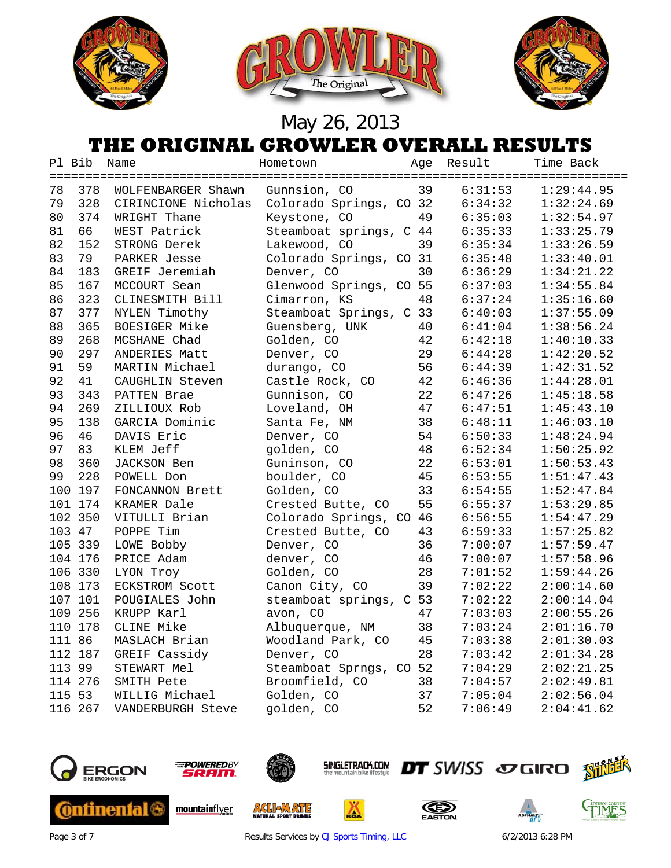





#### **THE ORIGINAL GROWLER OVERALL RESULTS**

|     | Pl Bib  | Name                | Hometown                | Age             | Result  | Time Back  |
|-----|---------|---------------------|-------------------------|-----------------|---------|------------|
| 78  | 378     | WOLFENBARGER Shawn  | Gunnsion, CO            | 39              | 6:31:53 | 1:29:44.95 |
| 79  | 328     | CIRINCIONE Nicholas | Colorado Springs, CO 32 |                 | 6:34:32 | 1:32:24.69 |
| 80  | 374     | WRIGHT Thane        | Keystone, CO            | 49              | 6:35:03 | 1:32:54.97 |
| 81  | 66      | WEST Patrick        | Steamboat springs, C 44 |                 | 6:35:33 | 1:33:25.79 |
| 82  | 152     | STRONG Derek        | Lakewood, CO            | 39              | 6:35:34 | 1:33:26.59 |
| 83  | 79      | PARKER Jesse        | Colorado Springs, CO 31 |                 | 6:35:48 | 1:33:40.01 |
| 84  | 183     | GREIF Jeremiah      | Denver, CO              | 30              | 6:36:29 | 1:34:21.22 |
| 85  | 167     | MCCOURT Sean        | Glenwood Springs, CO 55 |                 | 6:37:03 | 1:34:55.84 |
| 86  | 323     | CLINESMITH Bill     | Cimarron, KS            | 48              | 6:37:24 | 1:35:16.60 |
| 87  | 377     | NYLEN Timothy       | Steamboat Springs, C 33 |                 | 6:40:03 | 1:37:55.09 |
| 88  | 365     | BOESIGER Mike       | Guensberg, UNK          | 40              | 6:41:04 | 1:38:56.24 |
| 89  | 268     | MCSHANE Chad        | Golden, CO              | 42              | 6:42:18 | 1:40:10.33 |
| 90  | 297     | ANDERIES Matt       | Denver, CO              | 29              | 6:44:28 | 1:42:20.52 |
| 91  | 59      | MARTIN Michael      | durango, CO             | 56              | 6:44:39 | 1:42:31.52 |
| 92  | 41      | CAUGHLIN Steven     | Castle Rock, CO         | 42              | 6:46:36 | 1:44:28.01 |
| 93  | 343     | PATTEN Brae         | Gunnison, CO            | 22              | 6:47:26 | 1:45:18.58 |
| 94  | 269     | ZILLIOUX Rob        | Loveland, OH            | 47              | 6:47:51 | 1:45:43.10 |
| 95  | 138     | GARCIA Dominic      | Santa Fe, NM            | 38              | 6:48:11 | 1:46:03.10 |
| 96  | 46      | DAVIS Eric          | Denver, CO              | 54              | 6:50:33 | 1:48:24.94 |
| 97  | 83      | KLEM Jeff           | golden, CO              | 48              | 6:52:34 | 1:50:25.92 |
| 98  | 360     | JACKSON Ben         | Guninson, CO            | 22              | 6:53:01 | 1:50:53.43 |
| 99  | 228     | POWELL Don          | boulder, CO             | 45              | 6:53:55 | 1:51:47.43 |
| 100 | 197     | FONCANNON Brett     | Golden, CO              | 33              | 6:54:55 | 1:52:47.84 |
|     | 101 174 | KRAMER Dale         | Crested Butte, CO       | 55              | 6:55:37 | 1:53:29.85 |
|     | 102 350 | VITULLI Brian       | Colorado Springs, CO 46 |                 | 6:56:55 | 1:54:47.29 |
|     | 103 47  | POPPE Tim           | Crested Butte, CO       | 43              | 6:59:33 | 1:57:25.82 |
|     | 105 339 | LOWE Bobby          | Denver, CO              | 36              | 7:00:07 | 1:57:59.47 |
|     | 104 176 | PRICE Adam          | denver, CO              | 46              | 7:00:07 | 1:57:58.96 |
|     | 106 330 | LYON Troy           | Golden, CO              | 28              | 7:01:52 | 1:59:44.26 |
|     | 108 173 | ECKSTROM Scott      | Canon City, CO          | 39              | 7:02:22 | 2:00:14.60 |
|     | 107 101 | POUGIALES John      | steamboat springs,      | C <sub>53</sub> | 7:02:22 | 2:00:14.04 |
|     | 109 256 | KRUPP Karl          | avon, CO                | 47              | 7:03:03 | 2:00:55.26 |
|     | 110 178 | CLINE Mike          | Albuquerque, NM         | 38              | 7:03:24 | 2:01:16.70 |
|     | 111 86  | MASLACH Brian       | Woodland Park, CO       | 45              | 7:03:38 | 2:01:30.03 |
|     | 112 187 | GREIF Cassidy       | Denver, CO              | 28              | 7:03:42 | 2:01:34.28 |
|     | 113 99  | STEWART Mel         | Steamboat Sprngs, CO 52 |                 | 7:04:29 | 2:02:21.25 |
|     | 114 276 | SMITH Pete          | Broomfield, CO          | 38              | 7:04:57 | 2:02:49.81 |
|     | 115 53  | WILLIG Michael      | Golden, CO              | 37              | 7:05:04 | 2:02:56.04 |
|     | 116 267 | VANDERBURGH Steve   | golden, CO              | 52              | 7:06:49 | 2:04:41.62 |
|     |         |                     |                         |                 |         |            |



Page 3 of 7 **Results Services b[y CJ Sports Timing, LLC](http://www.cjtiming.com/)** 6/2/2013 6:28 PM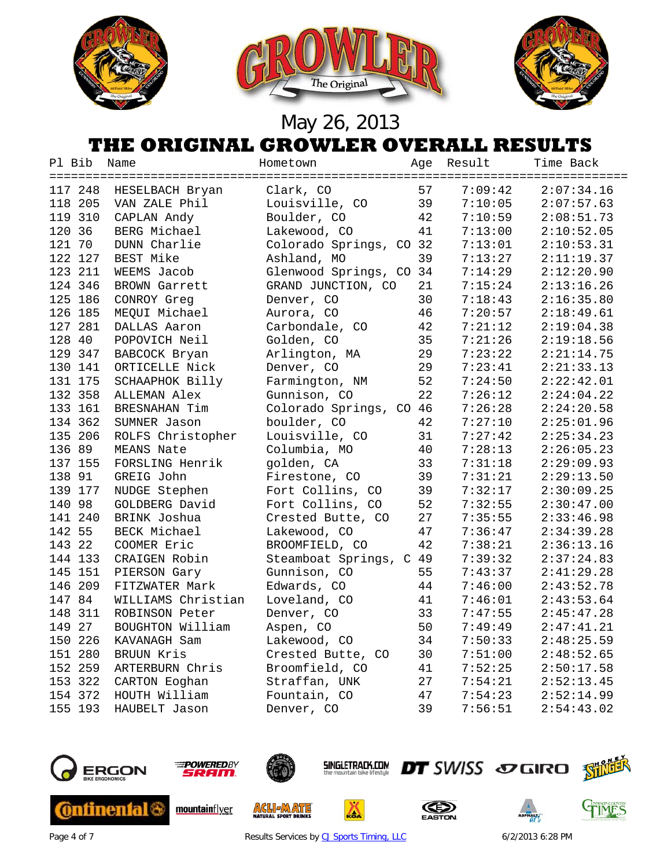





#### **THE ORIGINAL GROWLER OVERALL RESULTS**

| Pl Bib  | Name               | Hometown                | Age | Result  | Time Back  |
|---------|--------------------|-------------------------|-----|---------|------------|
|         |                    |                         |     |         |            |
| 117 248 | HESELBACH Bryan    | Clark, CO               | 57  | 7:09:42 | 2:07:34.16 |
| 118 205 | VAN ZALE Phil      | Louisville, CO          | 39  | 7:10:05 | 2:07:57.63 |
| 119 310 | CAPLAN Andy        | Boulder, CO             | 42  | 7:10:59 | 2:08:51.73 |
| 120 36  | BERG Michael       | Lakewood, CO            | 41  | 7:13:00 | 2:10:52.05 |
| 121 70  | DUNN Charlie       | Colorado Springs, CO 32 |     | 7:13:01 | 2:10:53.31 |
| 122 127 | BEST Mike          | Ashland, MO             | 39  | 7:13:27 | 2:11:19.37 |
| 123 211 | WEEMS Jacob        | Glenwood Springs, CO 34 |     | 7:14:29 | 2:12:20.90 |
| 124 346 | BROWN Garrett      | GRAND JUNCTION, CO      | 21  | 7:15:24 | 2:13:16.26 |
| 125 186 | CONROY Greg        | Denver, CO              | 30  | 7:18:43 | 2:16:35.80 |
| 126 185 | MEQUI Michael      | Aurora, CO              | 46  | 7:20:57 | 2:18:49.61 |
| 127 281 | DALLAS Aaron       | Carbondale, CO          | 42  | 7:21:12 | 2:19:04.38 |
| 128 40  | POPOVICH Neil      | Golden, CO              | 35  | 7:21:26 | 2:19:18.56 |
| 129 347 | BABCOCK Bryan      | Arlington, MA           | 29  | 7:23:22 | 2:21:14.75 |
| 130 141 | ORTICELLE Nick     | Denver, CO              | 29  | 7:23:41 | 2:21:33.13 |
| 131 175 | SCHAAPHOK Billy    | Farmington, NM          | 52  | 7:24:50 | 2:22:42.01 |
| 132 358 | ALLEMAN Alex       | Gunnison, CO            | 22  | 7:26:12 | 2:24:04.22 |
| 133 161 | BRESNAHAN Tim      | Colorado Springs, CO 46 |     | 7:26:28 | 2:24:20.58 |
| 134 362 | SUMNER Jason       | boulder, CO             | 42  | 7:27:10 | 2:25:01.96 |
| 135 206 | ROLFS Christopher  | Louisville, CO          | 31  | 7:27:42 | 2:25:34.23 |
| 136 89  | MEANS Nate         | Columbia, MO            | 40  | 7:28:13 | 2:26:05.23 |
| 137 155 | FORSLING Henrik    | golden, CA              | 33  | 7:31:18 | 2:29:09.93 |
| 138 91  | GREIG John         | Firestone, CO           | 39  | 7:31:21 | 2:29:13.50 |
| 139 177 | NUDGE Stephen      | Fort Collins, CO        | 39  | 7:32:17 | 2:30:09.25 |
| 140 98  | GOLDBERG David     | Fort Collins, CO        | 52  | 7:32:55 | 2:30:47.00 |
| 141 240 | BRINK Joshua       | Crested Butte, CO       | 27  | 7:35:55 | 2:33:46.98 |
| 142 55  | BECK Michael       | Lakewood, CO            | 47  | 7:36:47 | 2:34:39.28 |
| 143 22  | COOMER Eric        | BROOMFIELD, CO          | 42  | 7:38:21 | 2:36:13.16 |
| 144 133 | CRAIGEN Robin      | Steamboat Springs, C 49 |     | 7:39:32 | 2:37:24.83 |
| 145 151 | PIERSON Gary       | Gunnison, CO            | 55  | 7:43:37 | 2:41:29.28 |
| 146 209 | FITZWATER Mark     | Edwards, CO             | 44  | 7:46:00 | 2:43:52.78 |
| 147 84  | WILLIAMS Christian | Loveland, CO            | 41  | 7:46:01 | 2:43:53.64 |
| 148 311 | ROBINSON Peter     | Denver, CO              | 33  | 7:47:55 | 2:45:47.28 |
| 149 27  | BOUGHTON William   | Aspen, CO               | 50  | 7:49:49 | 2:47:41.21 |
| 150 226 | KAVANAGH Sam       | Lakewood, CO            | 34  | 7:50:33 | 2:48:25.59 |
| 151 280 | BRUUN Kris         | Crested Butte, CO       | 30  | 7:51:00 | 2:48:52.65 |
| 152 259 | ARTERBURN Chris    | Broomfield, CO          | 41  | 7:52:25 | 2:50:17.58 |
| 153 322 | CARTON Eoghan      | Straffan, UNK           | 27  | 7:54:21 | 2:52:13.45 |
| 154 372 | HOUTH William      | Fountain, CO            | 47  | 7:54:23 | 2:52:14.99 |
| 155 193 | HAUBELT Jason      | Denver, CO              | 39  | 7:56:51 | 2:54:43.02 |
|         |                    |                         |     |         |            |







**ACLI MATE** 

**SINGLETRACK.COM** 

◬





Page 4 of 7 **Results Services b[y CJ Sports Timing, LLC](http://www.cjtiming.com/)** 6/2/2013 6:28 PM

**DT** SWISS SOGIRO SHILL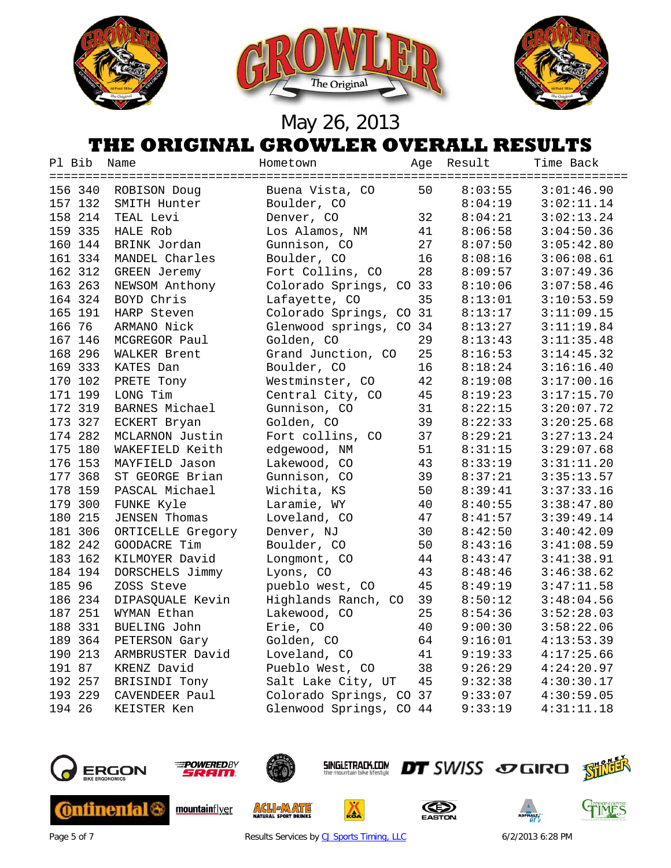





#### **THE ORIGINAL GROWLER OVERALL RESULTS**

| Pl Bib  | Name                 | Hometown                | Age | Result  | Time Back  |
|---------|----------------------|-------------------------|-----|---------|------------|
|         |                      |                         |     |         |            |
| 156 340 | ROBISON Doug         | Buena Vista, CO         | 50  | 8:03:55 | 3:01:46.90 |
| 157 132 | SMITH Hunter         | Boulder, CO             |     | 8:04:19 | 3:02:11.14 |
| 158 214 | TEAL Levi            | Denver, CO              | 32  | 8:04:21 | 3:02:13.24 |
| 159 335 | HALE Rob             | Los Alamos, NM          | 41  | 8:06:58 | 3:04:50.36 |
| 160 144 | BRINK Jordan         | Gunnison, CO            | 27  | 8:07:50 | 3:05:42.80 |
| 161 334 | MANDEL Charles       | Boulder, CO             | 16  | 8:08:16 | 3:06:08.61 |
| 162 312 | GREEN Jeremy         | Fort Collins, CO        | 28  | 8:09:57 | 3:07:49.36 |
| 163 263 | NEWSOM Anthony       | Colorado Springs, CO 33 |     | 8:10:06 | 3:07:58.46 |
| 164 324 | BOYD Chris           | Lafayette, CO           | 35  | 8:13:01 | 3:10:53.59 |
| 165 191 | HARP Steven          | Colorado Springs, CO 31 |     | 8:13:17 | 3:11:09.15 |
| 166 76  | ARMANO Nick          | Glenwood springs, CO    | 34  | 8:13:27 | 3:11:19.84 |
| 167 146 | MCGREGOR Paul        | Golden, CO              | 29  | 8:13:43 | 3:11:35.48 |
| 168 296 | WALKER Brent         | Grand Junction, CO      | 25  | 8:16:53 | 3:14:45.32 |
| 169 333 | KATES Dan            | Boulder, CO             | 16  | 8:18:24 | 3:16:16.40 |
| 170 102 | PRETE Tony           | Westminster, CO         | 42  | 8:19:08 | 3:17:00.16 |
| 171 199 | LONG Tim             | Central City, CO        | 45  | 8:19:23 | 3:17:15.70 |
| 172 319 | BARNES Michael       | Gunnison, CO            | 31  | 8:22:15 | 3:20:07.72 |
| 173 327 | ECKERT Bryan         | Golden, CO              | 39  | 8:22:33 | 3:20:25.68 |
| 174 282 | MCLARNON Justin      | Fort collins, CO        | 37  | 8:29:21 | 3:27:13.24 |
| 175 180 | WAKEFIELD Keith      | edgewood, NM            | 51  | 8:31:15 | 3:29:07.68 |
| 176 153 | MAYFIELD Jason       | Lakewood, CO            | 43  | 8:33:19 | 3:31:11.20 |
| 177 368 | ST GEORGE Brian      | Gunnison, CO            | 39  | 8:37:21 | 3:35:13.57 |
| 178 159 | PASCAL Michael       | Wichita, KS             | 50  | 8:39:41 | 3:37:33.16 |
| 179 300 | FUNKE Kyle           | Laramie, WY             | 40  | 8:40:55 | 3:38:47.80 |
| 180 215 | <b>JENSEN Thomas</b> | Loveland, CO            | 47  | 8:41:57 | 3:39:49.14 |
| 181 306 | ORTICELLE Gregory    | Denver, NJ              | 30  | 8:42:50 | 3:40:42.09 |
| 182 242 | GOODACRE Tim         | Boulder, CO             | 50  | 8:43:16 | 3:41:08.59 |
| 183 162 | KILMOYER David       | Longmont, CO            | 44  | 8:43:47 | 3:41:38.91 |
| 184 194 | DORSCHELS Jimmy      | Lyons, CO               | 43  | 8:48:46 | 3:46:38.62 |
| 185 96  | ZOSS Steve           | pueblo west, CO         | 45  | 8:49:19 | 3:47:11.58 |
| 186 234 | DIPASQUALE Kevin     | Highlands Ranch, CO     | 39  | 8:50:12 | 3:48:04.56 |
| 187 251 | WYMAN Ethan          | Lakewood, CO            | 25  | 8:54:36 | 3:52:28.03 |
| 188 331 | BUELING John         | Erie, CO                | 40  | 9:00:30 | 3:58:22.06 |
| 189 364 | PETERSON Gary        | Golden, CO              | 64  | 9:16:01 | 4:13:53.39 |
| 190 213 | ARMBRUSTER David     | Loveland, CO            | 41  | 9:19:33 | 4:17:25.66 |
| 191 87  | KRENZ David          | Pueblo West, CO         | 38  | 9:26:29 | 4:24:20.97 |
| 192 257 | BRISINDI Tony        | Salt Lake City, UT      | 45  | 9:32:38 | 4:30:30.17 |
| 193 229 | CAVENDEER Paul       | Colorado Springs, CO 37 |     | 9:33:07 | 4:30:59.05 |
| 194 26  | KEISTER Ken          | Glenwood Springs, CO 44 |     | 9:33:19 | 4:31:11.18 |
|         |                      |                         |     |         |            |







**ACLI MATE** 

**SINGLETRACK.COM** 

◬





Page 5 of 7 **Results Services b[y CJ Sports Timing, LLC](http://www.cjtiming.com/)** 6/2/2013 6:28 PM

**DT** SWISS SOGIRO SHILL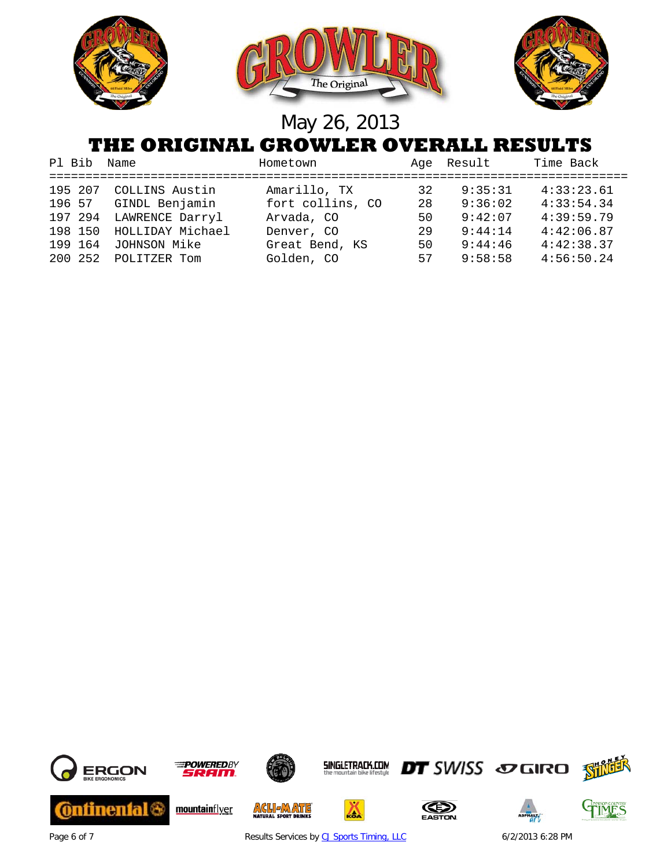

#### **THE ORIGINAL GROWLER OVERALL RESULTS**

| Pl Bib Name |                      | Hometown         |    | Age Result | Time Back  |
|-------------|----------------------|------------------|----|------------|------------|
| 195 207     | COLLINS Austin       | Amarillo, TX     | 32 | 9:35:31    | 4:33:23.61 |
| 196 57      | GINDL Benjamin       | fort collins, CO | 28 | 9:36:02    | 4:33:54.34 |
| 197 294     | LAWRENCE Darryl      | Arvada, CO       | 50 | 9:42:07    | 4:39:59.79 |
| 198 150     | HOLLIDAY Michael     | Denver, CO       | 29 | 9:44:14    | 4:42:06.87 |
| 199 164     | JOHNSON Mike         | Great Bend, KS   | 50 | 9:44:46    | 4:42:38.37 |
|             | 200 252 POLITZER Tom | Golden, CO       | 57 | 9:58:58    | 4:56:50.24 |



Page 6 of 7 **Results Services b[y CJ Sports Timing, LLC](http://www.cjtiming.com/)** 6/2/2013 6:28 PM